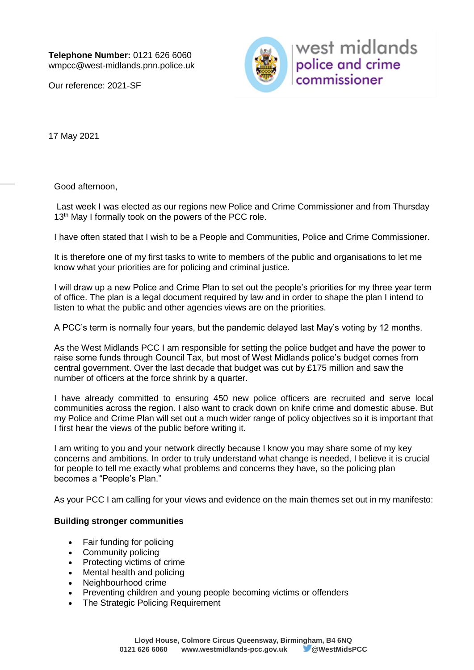Our reference: 2021-SF



west midlands police and crime commissioner

17 May 2021

Good afternoon,

Last week I was elected as our regions new Police and Crime Commissioner and from Thursday 13<sup>th</sup> May I formally took on the powers of the PCC role.

I have often stated that I wish to be a People and Communities, Police and Crime Commissioner.

It is therefore one of my first tasks to write to members of the public and organisations to let me know what your priorities are for policing and criminal justice.

I will draw up a new Police and Crime Plan to set out the people's priorities for my three year term of office. The plan is a legal document required by law and in order to shape the plan I intend to listen to what the public and other agencies views are on the priorities.

A PCC's term is normally four years, but the pandemic delayed last May's voting by 12 months.

As the West Midlands PCC I am responsible for setting the police budget and have the power to raise some funds through Council Tax, but most of West Midlands police's budget comes from central government. Over the last decade that budget was cut by £175 million and saw the number of officers at the force shrink by a quarter.

I have already committed to ensuring 450 new police officers are recruited and serve local communities across the region. I also want to crack down on knife crime and domestic abuse. But my Police and Crime Plan will set out a much wider range of policy objectives so it is important that I first hear the views of the public before writing it.

I am writing to you and your network directly because I know you may share some of my key concerns and ambitions. In order to truly understand what change is needed, I believe it is crucial for people to tell me exactly what problems and concerns they have, so the policing plan becomes a "People's Plan."

As your PCC I am calling for your views and evidence on the main themes set out in my manifesto:

# **Building stronger communities**

- Fair funding for policing
- Community policing
- Protecting victims of crime
- Mental health and policing
- Neighbourhood crime
- Preventing children and young people becoming victims or offenders
- The Strategic Policing Requirement